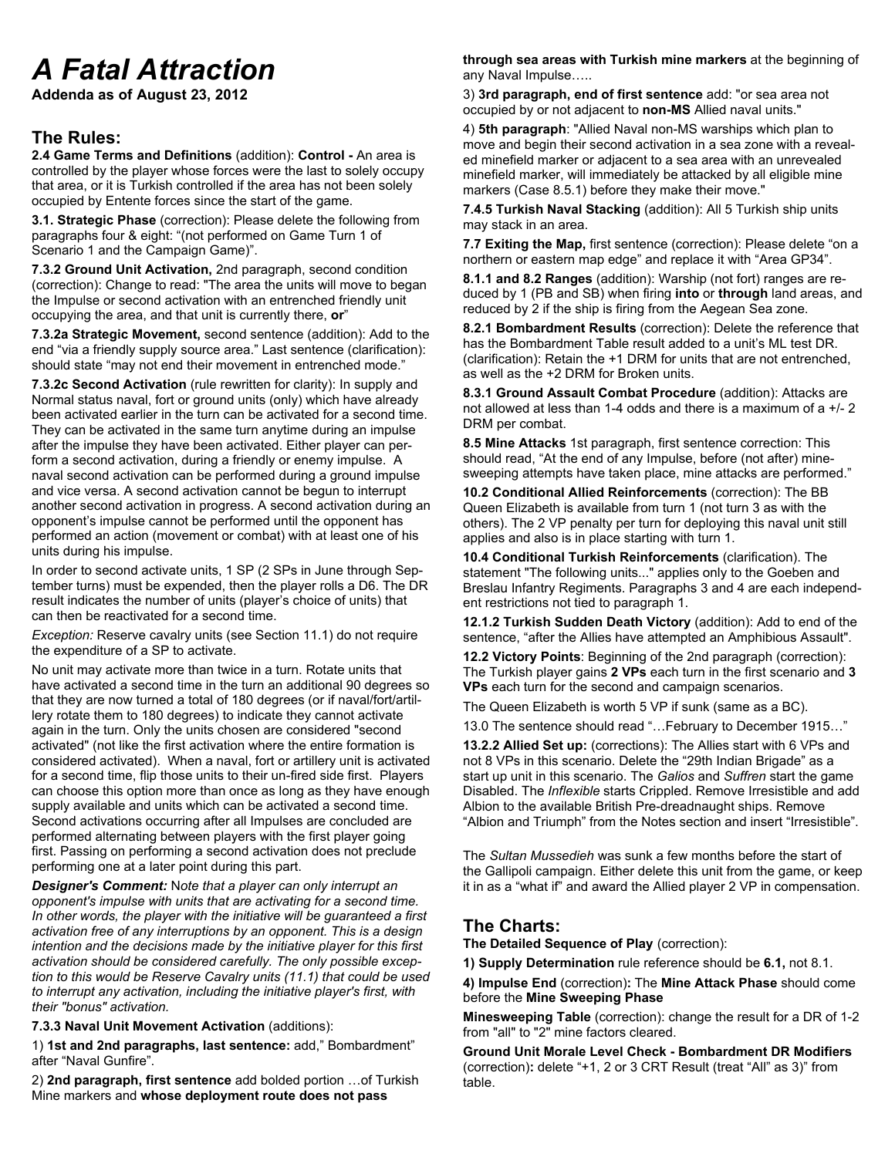# *A Fatal Attraction*

**Addenda as of August 23, 2012**

#### **The Rules:**

**2.4 Game Terms and Definitions** (addition): **Control -** An area is controlled by the player whose forces were the last to solely occupy that area, or it is Turkish controlled if the area has not been solely occupied by Entente forces since the start of the game.

**3.1. Strategic Phase** (correction): Please delete the following from paragraphs four & eight: "(not performed on Game Turn 1 of Scenario 1 and the Campaign Game)".

**7.3.2 Ground Unit Activation,** 2nd paragraph, second condition (correction): Change to read: "The area the units will move to began the Impulse or second activation with an entrenched friendly unit occupying the area, and that unit is currently there, **or**"

**7.3.2a Strategic Movement,** second sentence (addition): Add to the end "via a friendly supply source area." Last sentence (clarification): should state "may not end their movement in entrenched mode."

**7.3.2c Second Activation** (rule rewritten for clarity): In supply and Normal status naval, fort or ground units (only) which have already been activated earlier in the turn can be activated for a second time. They can be activated in the same turn anytime during an impulse after the impulse they have been activated. Either player can perform a second activation, during a friendly or enemy impulse. A naval second activation can be performed during a ground impulse and vice versa. A second activation cannot be begun to interrupt another second activation in progress. A second activation during an opponent's impulse cannot be performed until the opponent has performed an action (movement or combat) with at least one of his units during his impulse.

In order to second activate units, 1 SP (2 SPs in June through September turns) must be expended, then the player rolls a D6. The DR result indicates the number of units (player's choice of units) that can then be reactivated for a second time.

*Exception:* Reserve cavalry units (see Section 11.1) do not require the expenditure of a SP to activate.

No unit may activate more than twice in a turn. Rotate units that have activated a second time in the turn an additional 90 degrees so that they are now turned a total of 180 degrees (or if naval/fort/artillery rotate them to 180 degrees) to indicate they cannot activate again in the turn. Only the units chosen are considered "second activated" (not like the first activation where the entire formation is considered activated). When a naval, fort or artillery unit is activated for a second time, flip those units to their un-fired side first. Players can choose this option more than once as long as they have enough supply available and units which can be activated a second time. Second activations occurring after all Impulses are concluded are performed alternating between players with the first player going first. Passing on performing a second activation does not preclude performing one at a later point during this part.

*Designer's Comment:* N*ote that a player can only interrupt an opponent's impulse with units that are activating for a second time. In other words, the player with the initiative will be guaranteed a first activation free of any interruptions by an opponent. This is a design intention and the decisions made by the initiative player for this first activation should be considered carefully. The only possible exception to this would be Reserve Cavalry units (11.1) that could be used to interrupt any activation, including the initiative player's first, with their "bonus" activation.*

**7.3.3 Naval Unit Movement Activation** (additions):

1) **1st and 2nd paragraphs, last sentence:** add," Bombardment" after "Naval Gunfire".

2) **2nd paragraph, first sentence** add bolded portion …of Turkish Mine markers and **whose deployment route does not pass** 

**through sea areas with Turkish mine markers** at the beginning of any Naval Impulse…..

3) **3rd paragraph, end of first sentence** add: "or sea area not occupied by or not adjacent to **non-MS** Allied naval units."

4) **5th paragraph**: "Allied Naval non-MS warships which plan to move and begin their second activation in a sea zone with a revealed minefield marker or adjacent to a sea area with an unrevealed minefield marker, will immediately be attacked by all eligible mine markers (Case 8.5.1) before they make their move."

**7.4.5 Turkish Naval Stacking** (addition): All 5 Turkish ship units may stack in an area.

**7.7 Exiting the Map,** first sentence (correction): Please delete "on a northern or eastern map edge" and replace it with "Area GP34".

**8.1.1 and 8.2 Ranges** (addition): Warship (not fort) ranges are reduced by 1 (PB and SB) when firing **into** or **through** land areas, and reduced by 2 if the ship is firing from the Aegean Sea zone.

**8.2.1 Bombardment Results** (correction): Delete the reference that has the Bombardment Table result added to a unit's ML test DR. (clarification): Retain the +1 DRM for units that are not entrenched, as well as the +2 DRM for Broken units.

**8.3.1 Ground Assault Combat Procedure** (addition): Attacks are not allowed at less than 1-4 odds and there is a maximum of a +/- 2 DRM per combat.

**8.5 Mine Attacks** 1st paragraph, first sentence correction: This should read, "At the end of any Impulse, before (not after) minesweeping attempts have taken place, mine attacks are performed."

**10.2 Conditional Allied Reinforcements** (correction): The BB Queen Elizabeth is available from turn 1 (not turn 3 as with the others). The 2 VP penalty per turn for deploying this naval unit still applies and also is in place starting with turn 1.

**10.4 Conditional Turkish Reinforcements** (clarification). The statement "The following units..." applies only to the Goeben and Breslau Infantry Regiments. Paragraphs 3 and 4 are each independent restrictions not tied to paragraph 1.

**12.1.2 Turkish Sudden Death Victory** (addition): Add to end of the sentence, "after the Allies have attempted an Amphibious Assault".

**12.2 Victory Points**: Beginning of the 2nd paragraph (correction): The Turkish player gains **2 VPs** each turn in the first scenario and **3 VPs** each turn for the second and campaign scenarios.

The Queen Elizabeth is worth 5 VP if sunk (same as a BC).

13.0 The sentence should read "…February to December 1915…"

**13.2.2 Allied Set up:** (corrections): The Allies start with 6 VPs and not 8 VPs in this scenario. Delete the "29th Indian Brigade" as a start up unit in this scenario. The *Galios* and *Suffren* start the game Disabled. The *Inflexible* starts Crippled. Remove Irresistible and add Albion to the available British Pre-dreadnaught ships. Remove "Albion and Triumph" from the Notes section and insert "Irresistible".

The *Sultan Mussedieh* was sunk a few months before the start of the Gallipoli campaign. Either delete this unit from the game, or keep it in as a "what if" and award the Allied player 2 VP in compensation.

#### **The Charts:**

**The Detailed Sequence of Play** (correction):

**1) Supply Determination** rule reference should be **6.1,** not 8.1.

**4) Impulse End** (correction)**:** The **Mine Attack Phase** should come before the **Mine Sweeping Phase**

**Minesweeping Table** (correction): change the result for a DR of 1-2 from "all" to "2" mine factors cleared.

**Ground Unit Morale Level Check - Bombardment DR Modifiers**  (correction)**:** delete "+1, 2 or 3 CRT Result (treat "All" as 3)" from table.